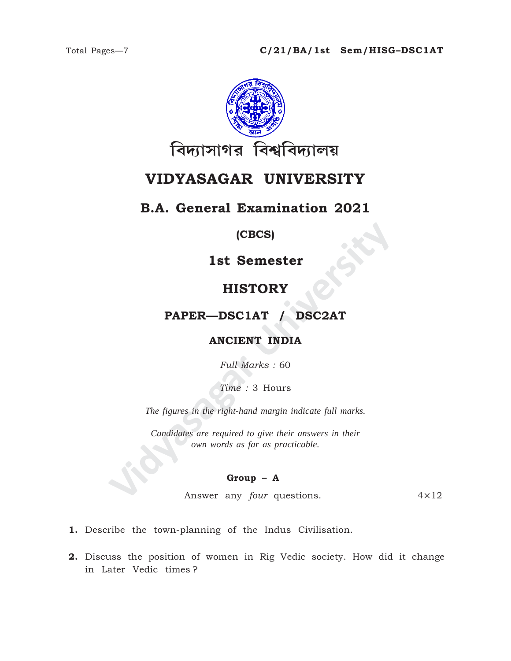

## VIDYASAGAR UNIVERSITY

## **B.A. General Examination 2021**

## (CBCS)

**1st Semester** 

## **HISTORY**

## PAPER-DSC1AT / DSC2AT

## **ANCIENT INDIA**

Full Marks: 60

Time: 3 Hours

The figures in the right-hand margin indicate full marks.

Candidates are required to give their answers in their own words as far as practicable.

#### Group  $-$  A

Answer any *four* questions.  $4 \times 12$ 

- 1. Describe the town-planning of the Indus Civilisation.
- 2. Discuss the position of women in Rig Vedic society. How did it change in Later Vedic times?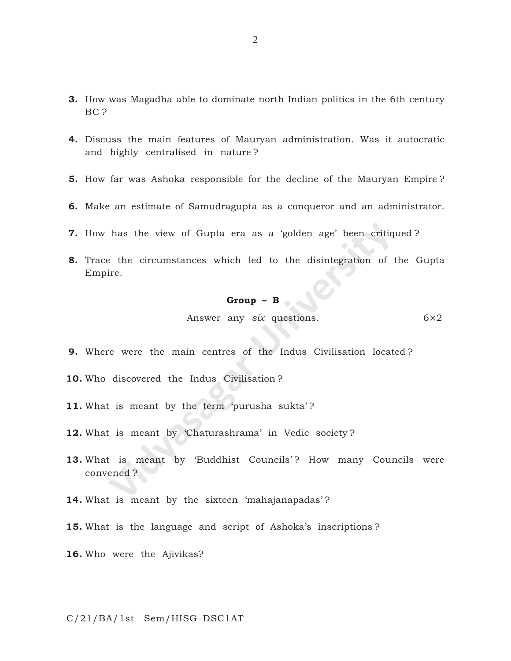- **3.** How was Magadha able to dominate north Indian politics in the 6th century BC ?
- **4.** Discuss the main features of Mauryan administration. Was it autocratic and highly centralised in nature ?
- **5.** How far was Ashoka responsible for the decline of the Mauryan Empire ?
- **6.** Make an estimate of Samudragupta as a conqueror and an administrator.
- **7.** How has the view of Gupta era as a 'golden age' been critiqued ?
- has the view of Gupta era as a 'golden age' been critiq<br>
<sup>2</sup> the circumstances which led to the disintegration of<br> **Group B**<br> **Croup B**<br> **Answer any six questions.**<br> **Croup B**<br> **Answer any six questions.**<br> **Property: 8.** Trace the circumstances which led to the disintegration of the Gupta Empire.

#### **Group – B**

Answer any *six* questions. 6×2

- **9.** Where were the main centres of the Indus Civilisation located ?
- **10.** Who discovered the Indus Civilisation ?
- 11. What is meant by the term 'purusha sukta'?
- **12.** What is meant by 'Chaturashrama' in Vedic society ?
- 13. What is meant by 'Buddhist Councils'? How many Councils were convened ?
- **14.** What is meant by the sixteen 'mahajanapadas' ?
- **15.** What is the language and script of Ashoka's inscriptions ?

**16.** Who were the Ajivikas?

C/21/BA/1st Sem/HISG–DSC1AT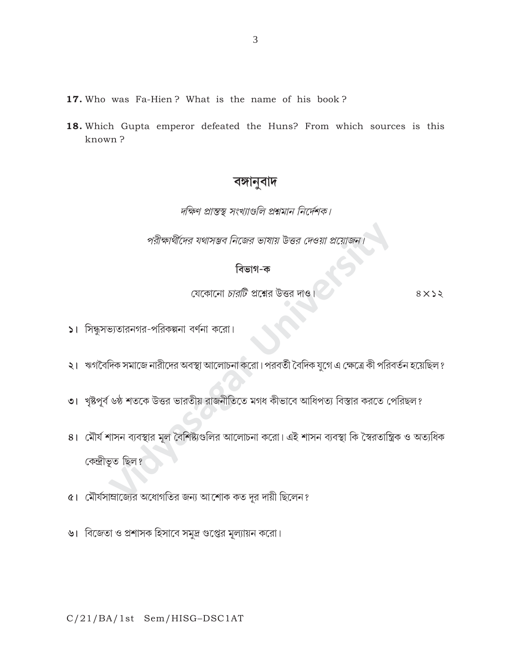- 17. Who was Fa-Hien? What is the name of his book?
- 18. Which Gupta emperor defeated the Huns? From which sources is this known?

## বঙ্গানুবাদ

দক্ষিণ প্রান্তস্থ সংখ্যাগুলি প্রশ্নমান নির্দেশক।

পরীক্ষার্থীদের যথাসম্ভব নিজের ভাষায় উত্তর দেওয়া প্রয়োজন

## বিভাগ-ক

যেকোনো *চারটি* প্রশ্নের উত্তর দাও

 $8\times$ 

- 5। সিন্ধুসভ্যতারনগর-পরিকল্পনা বর্ণনা করো।
- ২। ঋগবৈদিক সমাজে নারীদের অবস্থা আলোচনা করো। পরবর্তী বৈদিক যুগে এ ক্ষেত্রে কী পরিবর্তন হয়েছিল ?
- ৩। খৃষ্টপূর্ব ৬ষ্ঠ শতকে উত্তর ভারতীয় রাজনীতিতে মগধ কীভাবে আধিপত্য বিস্তার করতে পেরিছল?
- ৪। মৌর্য শাসন ব্যবস্থার মূল বৈশিষ্ট্যগুলির আলোচনা করো। এই শাসন ব্যবস্থা কি স্বৈরতান্ত্রিক ও অত্যধিক কেন্দ্ৰীভূত ছিল?
- ৫। মৌর্যসাম্রাজ্যের অধোগতির জন্য আশোক কত দূর দায়ী ছিলেন?
- ৬। বিজেতা ও প্রশাসক হিসাবে সমুদ্র গুপ্তের মূল্যায়ন করো।

#### $C/21/BA/1st$  Sem/HISG-DSC1AT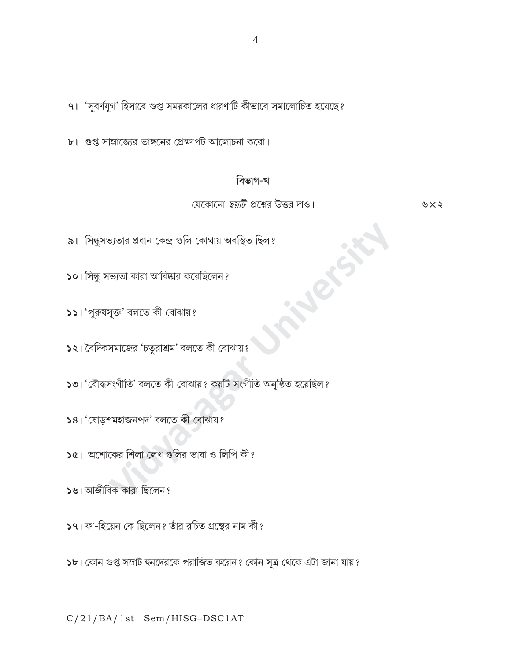$\overline{4}$ 

 $91$  'সুবর্ণযুগ' হিসাবে গুপ্ত সময়কালের ধারণাটি কীভাবে সমালোচিত হযেছে?

৮। গুপ্ত সাম্রাজ্যের ভাঙ্গনের প্রেক্ষাপট আলোচনা করো।

## বিভাগ-খ

যেকোনো *ছয়টি প্রশ্নের উত্তর দাও।* 

৬ $\times$ ২

- ৯। সিন্ধুসভ্যতার প্রধান কেন্দ্র গুলি কোথায় অবস্থিত ছিল?
- $\mathsf{S}$ ০। সিন্ধু সভ্যতা কারা আবিষ্কার করেছিলেন?
- ১১। 'পুরুষসুক্ত' বলতে কী বোঝায়?
- ১২। বৈদিকসমাজের 'চতুরাশ্রম' বলতে কী বোঝায়?
- ১৩। 'বৌদ্ধসংগীতি' বলতে কী বোঝায়? কয়টি সংগীতি অনুষ্ঠিত হয়েছিল?
- ১৪। 'যোড়শমহাজনপদ' বলতে কী বোঝায়?
- $\sqrt{2}$ । অশোকের শিলা লেখ গুলির ভাষা ও লিপি কী?
- ১৬। আজীবিক কারা ছিলেন?
- ১৭। ফা-হিয়েন কে ছিলেন? তাঁর রচিত গ্রন্থের নাম কী?
- ১৮। কোন গুপ্ত সম্রাট হুনদেরকে পরাজিত করেন? কোন সূত্র থেকে এটা জানা যায়?

C/21/BA/1st Sem/HISG-DSC1AT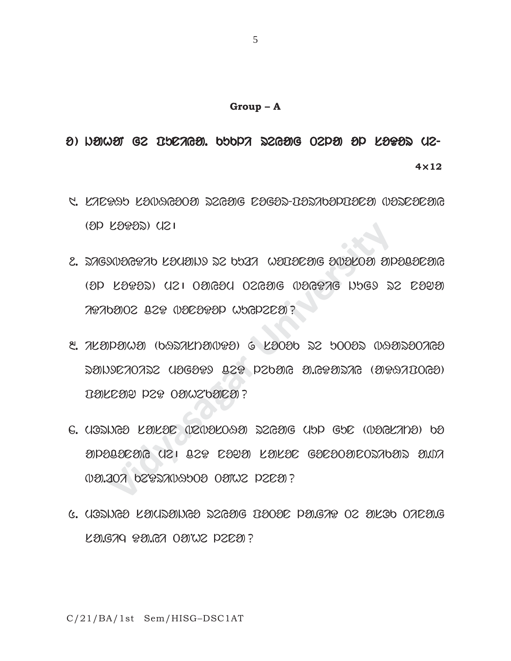# o) ngimai ge idalgay. Kuki zegajg oepai ap lataz ue-**4**×**12**

- 5. KAEP95 KOO9GOOO ZEGOG EOGOZ-DOZABOPDOEO OOZEOEOG  $(8P K 9995)$  (121
- 2. DAGYUDGPAD KOUØNY DZ DDAA WODOEOG OUDKOO OPODOEOG  $(3D$   $K3935)$   $(121)$   $030630$   $026306$   $0306376$   $N969$   $\overline{\triangleright}$   $2$   $R3930$ iDikaTe ceD bonoDol huylena?
- **103 FARSU (151 TS& E969) FARSE GAESOAROZYPROBOR CASAGINASI (1985)**<br>FEARS) (151 OALBON OSLANG (1986AL PROB 2<br>PANOS TS& (1969&) & FAOSP 25 POOSS (1986<br>RAOS TS& (1969&) & FAOSP 25 POOSS (1986<br>RAOS TS& (1969&) & FAOSP 25 POOS  $8.72090000$  (bearknames)  $6.2000$  as toosa measoores  $R$  (SAOORRAGE) araw $R$ ang  $R$ arday  $R$  and  $R$  and  $R$  and  $R$ pangan dan dawakan pas
- 6. UQDNGO KOKOE (IZ(VOKOAO) DZGOJG UHP GHE ((VOGKANO) HO  $\mathcal{D}$ Palacaig (12) leg caPa) kakac gacaoaicozabaiz a.ida 000.207 b292709500 0002 P2C0?
- 5. mOrjyo samrajyo reyag poTon la.giD Te asOk Tina.g  $K3.679$   $R3.67$   $O37.02$   $P2E3$  ?

C/21/BA/1st Sem/HISG–DSC1AT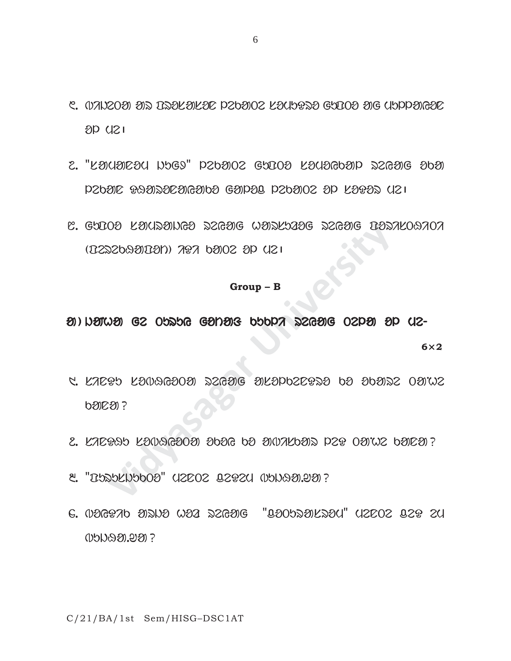- 6. OANZOO ON BROKOKOE PZOOOZ KOUDPKO GUBOO OG UDPPOROE  $8D$   $(121)$
- $2.$  "Laualacy hugs" pzdaoz gubo lauagdap szgag ada  $P2b9D$   $P39D3D29B9b9$   $G9P9D$   $P2b9O2$   $3P$   $L999D$   $(121)$
- $8. 6000$  balastura sama  $\%$ arsuzog sama  $13000$  $(0.252699090)$  and  $0.252699090$

#### **Group – B**

**Vidyasagar University**  $\mathcal{B}$ ) harma ge Turuy gotaf canar popular segag ospay ap (12-**6**×**2**

- 1. sinDu sobHyoTa reyag asolkenDro ko okare TaNhe  $b20221$
- $2.$  KAZPAT KONAGOOO OBOG DO ONNALDON PZP  $0$ ONNZ DOIEO ?
- $8.$  " $B$ babkNbb0 $9$ " (12202  $B292$ (1  $B$ bNa $99.99$ )?
- 4. boyDik arjo hoz reyag "coTurasrom" menTe ceD em  $0.50999992$